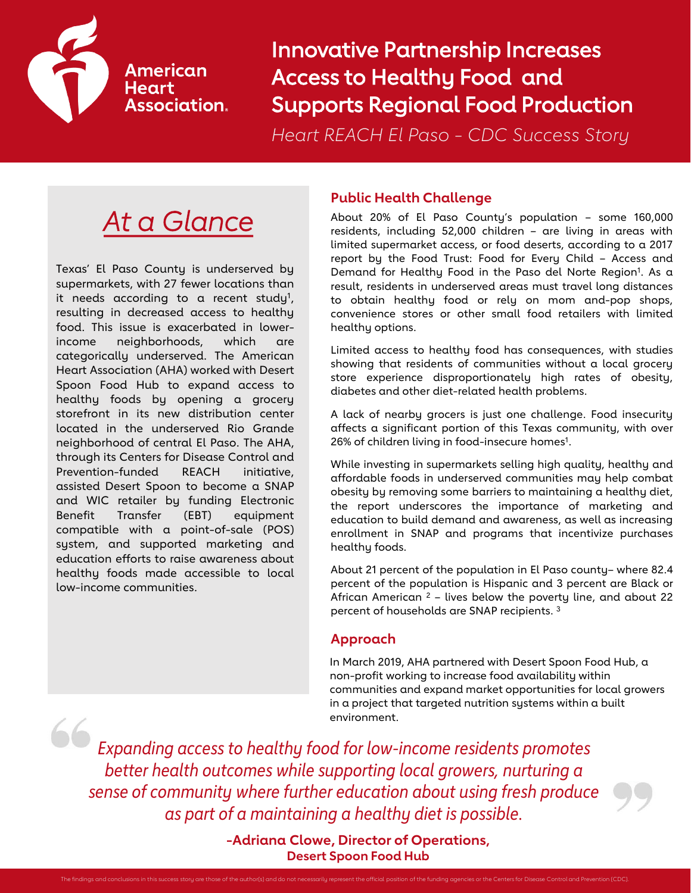

## American **Heart Association.**

 Innovative Partnership Increases Access to Healthy Food and Supports Regional Food Production

*Heart REACH El Paso - CDC Success Story* 

# *At a Glance*

Texas' El Paso County is underserved by supermarkets, with 27 fewer locations than it needs according to a recent study<sup>1</sup>, resulting in decreased access to healthy food. This issue is exacerbated in lowerincome neighborhoods, which are categorically underserved. The American Heart Association (AHA) worked with Desert Spoon Food Hub to expand access to healthy foods by opening a grocery storefront in its new distribution center located in the underserved Rio Grande neighborhood of central El Paso. The AHA, through its Centers for Disease Control and Prevention-funded REACH initiative, assisted Desert Spoon to become a SNAP and WIC retailer by funding Electronic Benefit Transfer (EBT) equipment compatible with a point-of-sale (POS) system, and supported marketing and education efforts to raise awareness about healthy foods made accessible to local low-income communities.

#### **Public Health Challenge**

About 20% of El Paso County's population – some 160,000 residents, including 52,000 children – are living in areas with limited supermarket access, or food deserts, according to a 2017 report by the Food Trust: Food for Every Child – Access and Demand for Healthy Food in the Paso del Norte Region<sup>1</sup>. As a result, residents in underserved areas must travel long distances to obtain healthy food or rely on mom and-pop shops, convenience stores or other small food retailers with limited healthy options.

Limited access to healthy food has consequences, with studies showing that residents of communities without a local grocery store experience disproportionately high rates of obesity, diabetes and other diet-related health problems.

A lack of nearby grocers is just one challenge. Food insecurity affects a significant portion of this Texas community, with over 26% of children living in food-insecure homes<sup>1</sup>.

While investing in supermarkets selling high quality, healthy and affordable foods in underserved communities may help combat obesity by removing some barriers to maintaining a healthy diet, the report underscores the importance of marketing and education to build demand and awareness, as well as increasing enrollment in SNAP and programs that incentivize purchases healthy foods.

About 21 percent of the population in El Paso county– where 82.4 percent of the population is Hispanic and 3 percent are Black or African American  $2$  – lives below the poverty line, and about 22 percent of households are SNAP recipients. 3

## **Approach**

 In March 2019, AHA partnered with Desert Spoon Food Hub, a non-profit working to increase food availability within communities and expand market opportunities for local growers in a project that targeted nutrition systems within a built environment.

 *sense of community where further education about using fresh produce as part of a maintaining a healthy diet is possible. Expanding access to healthy food for low-income residents promotes better health outcomes while supporting local growers, nurturing a* 

> **-Adriana Clowe, Director of Operations, Desert Spoon Food Hub**

The findings and conclusions in this success story are those of the author(s) and do not necessarily represent the official position of the funding agencies or the Centers for Disease Control and Prevention (CDC).